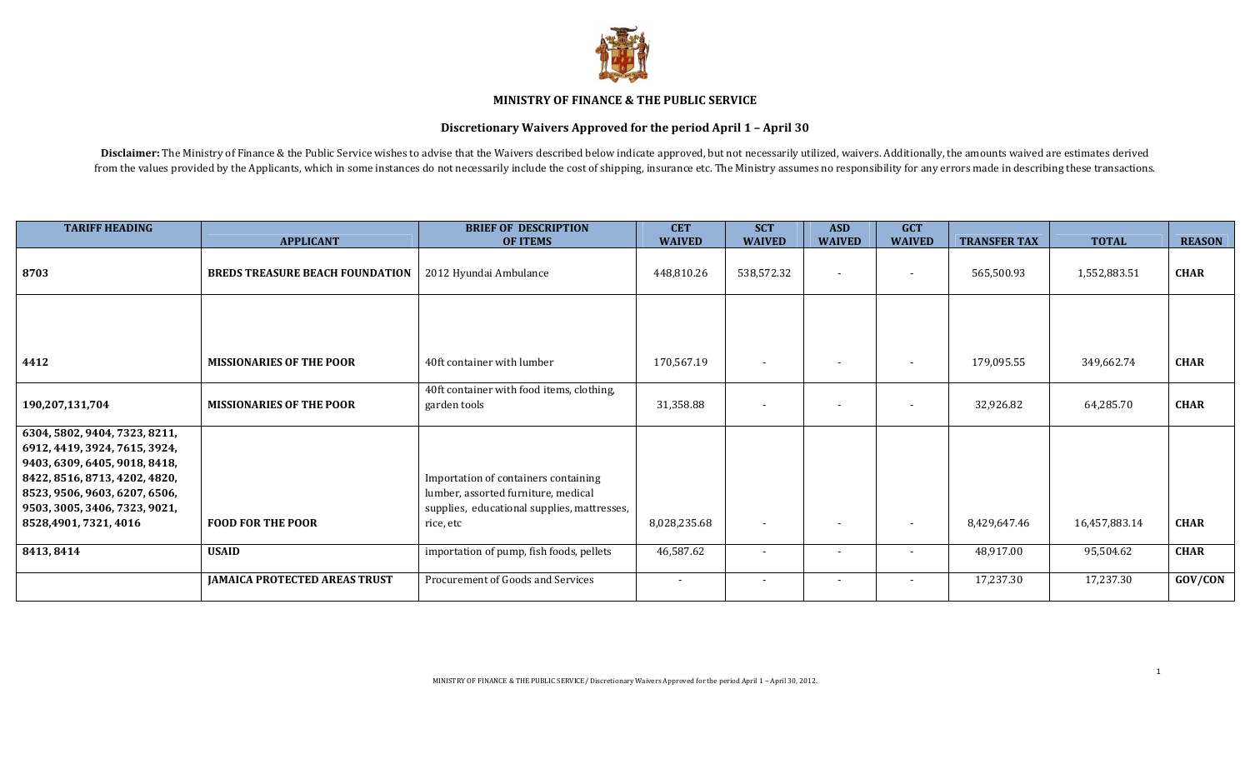

## MINISTRY OF FINANCE & THE PUBLIC SERVICE

## Discretionary Waivers Approved for the period April 1 – April 30

Disclaimer: The Ministry of Finance & the Public Service wishes to advise that the Waivers described below indicate approved, but not necessarily utilized, waivers. Additionally, the amounts waived are estimates derived from the values provided by the Applicants, which in some instances do not necessarily include the cost of shipping, insurance etc. The Ministry assumes no responsibility for any errors made in describing these transaction

| <b>TARIFF HEADING</b>                                                                                                                                                                                                       |                                        | <b>BRIEF OF DESCRIPTION</b>                                                                                                             | <b>CET</b>    | <b>SCT</b>               | <b>ASD</b>     | <b>GCT</b>               |                     |               |               |
|-----------------------------------------------------------------------------------------------------------------------------------------------------------------------------------------------------------------------------|----------------------------------------|-----------------------------------------------------------------------------------------------------------------------------------------|---------------|--------------------------|----------------|--------------------------|---------------------|---------------|---------------|
|                                                                                                                                                                                                                             | <b>APPLICANT</b>                       | <b>OF ITEMS</b>                                                                                                                         | <b>WAIVED</b> | <b>WAIVED</b>            | <b>WAIVED</b>  | <b>WAIVED</b>            | <b>TRANSFER TAX</b> | <b>TOTAL</b>  | <b>REASON</b> |
| 8703                                                                                                                                                                                                                        | <b>BREDS TREASURE BEACH FOUNDATION</b> | 2012 Hyundai Ambulance                                                                                                                  | 448,810.26    | 538,572.32               | $\overline{a}$ |                          | 565,500.93          | 1,552,883.51  | <b>CHAR</b>   |
|                                                                                                                                                                                                                             |                                        |                                                                                                                                         |               |                          |                |                          |                     |               |               |
| 4412                                                                                                                                                                                                                        | <b>MISSIONARIES OF THE POOR</b>        | 40ft container with lumber                                                                                                              | 170,567.19    |                          |                |                          | 179,095.55          | 349,662.74    | <b>CHAR</b>   |
| 190,207,131,704                                                                                                                                                                                                             | <b>MISSIONARIES OF THE POOR</b>        | 40ft container with food items, clothing,<br>garden tools                                                                               | 31,358.88     | $\overline{\phantom{a}}$ |                |                          | 32,926.82           | 64,285.70     | <b>CHAR</b>   |
| 6304, 5802, 9404, 7323, 8211,<br>6912, 4419, 3924, 7615, 3924,<br>9403, 6309, 6405, 9018, 8418,<br>8422, 8516, 8713, 4202, 4820,<br>8523, 9506, 9603, 6207, 6506,<br>9503, 3005, 3406, 7323, 9021,<br>8528,4901, 7321, 4016 | <b>FOOD FOR THE POOR</b>               | Importation of containers containing<br>lumber, assorted furniture, medical<br>supplies, educational supplies, mattresses,<br>rice, etc | 8,028,235.68  | $\blacksquare$           | $\sim$         | $\overline{\phantom{0}}$ | 8,429,647.46        | 16,457,883.14 | <b>CHAR</b>   |
| 8413, 8414                                                                                                                                                                                                                  | <b>USAID</b>                           | importation of pump, fish foods, pellets                                                                                                | 46,587.62     |                          |                |                          | 48,917.00           | 95,504.62     | <b>CHAR</b>   |
|                                                                                                                                                                                                                             | <b>JAMAICA PROTECTED AREAS TRUST</b>   | Procurement of Goods and Services                                                                                                       | $\sim$        | $\sim$                   | $\sim$         | $\overline{\phantom{0}}$ | 17,237.30           | 17,237.30     | GOV/CON       |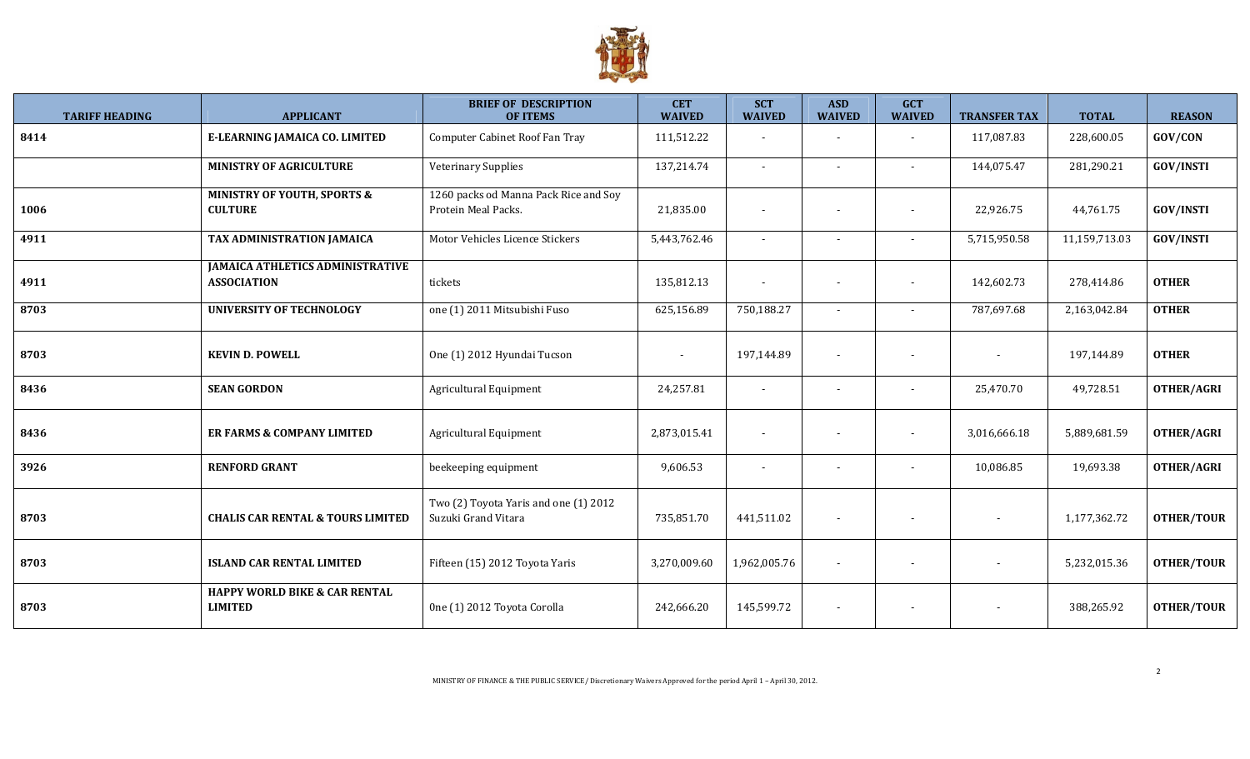

| <b>TARIFF HEADING</b> | <b>APPLICANT</b>                                              | <b>BRIEF OF DESCRIPTION</b><br><b>OF ITEMS</b>               | <b>CET</b><br><b>WAIVED</b> | <b>SCT</b><br><b>WAIVED</b> | <b>ASD</b><br><b>WAIVED</b> | <b>GCT</b><br><b>WAIVED</b> | <b>TRANSFER TAX</b> | <b>TOTAL</b>  | <b>REASON</b>     |
|-----------------------|---------------------------------------------------------------|--------------------------------------------------------------|-----------------------------|-----------------------------|-----------------------------|-----------------------------|---------------------|---------------|-------------------|
| 8414                  | E-LEARNING JAMAICA CO. LIMITED                                | Computer Cabinet Roof Fan Tray                               | 111,512.22                  |                             | $\overline{a}$              | $\sim$                      | 117,087.83          | 228,600.05    | GOV/CON           |
|                       | <b>MINISTRY OF AGRICULTURE</b>                                | <b>Veterinary Supplies</b>                                   | 137,214.74                  | $\blacksquare$              | $\overline{\phantom{a}}$    | $\sim$                      | 144,075.47          | 281,290.21    | <b>GOV/INSTI</b>  |
| 1006                  | <b>MINISTRY OF YOUTH, SPORTS &amp;</b><br><b>CULTURE</b>      | 1260 packs od Manna Pack Rice and Soy<br>Protein Meal Packs. | 21,835.00                   |                             | $\overline{\phantom{a}}$    | $\sim$                      | 22,926.75           | 44,761.75     | <b>GOV/INSTI</b>  |
| 4911                  | TAX ADMINISTRATION JAMAICA                                    | Motor Vehicles Licence Stickers                              | 5,443,762.46                | $\blacksquare$              | $\overline{\phantom{a}}$    | $\sim$                      | 5,715,950.58        | 11,159,713.03 | <b>GOV/INSTI</b>  |
| 4911                  | <b>JAMAICA ATHLETICS ADMINISTRATIVE</b><br><b>ASSOCIATION</b> | tickets                                                      | 135,812.13                  | $\blacksquare$              | $\overline{\phantom{a}}$    | $\sim$                      | 142,602.73          | 278,414.86    | <b>OTHER</b>      |
| 8703                  | <b>UNIVERSITY OF TECHNOLOGY</b>                               | one (1) 2011 Mitsubishi Fuso                                 | 625,156.89                  | 750,188.27                  | $\blacksquare$              | $\sim$                      | 787,697.68          | 2,163,042.84  | <b>OTHER</b>      |
| 8703                  | <b>KEVIN D. POWELL</b>                                        | One (1) 2012 Hyundai Tucson                                  |                             | 197,144.89                  | $\overline{\phantom{a}}$    |                             |                     | 197,144.89    | <b>OTHER</b>      |
| 8436                  | <b>SEAN GORDON</b>                                            | Agricultural Equipment                                       | 24,257.81                   | $\overline{\phantom{0}}$    | $\blacksquare$              | $\sim$                      | 25,470.70           | 49,728.51     | <b>OTHER/AGRI</b> |
| 8436                  | ER FARMS & COMPANY LIMITED                                    | Agricultural Equipment                                       | 2,873,015.41                | $\sim$                      | $\overline{\phantom{a}}$    | $\sim$                      | 3,016,666.18        | 5,889,681.59  | <b>OTHER/AGRI</b> |
| 3926                  | <b>RENFORD GRANT</b>                                          | beekeeping equipment                                         | 9,606.53                    | $\overline{\phantom{a}}$    | $\overline{\phantom{a}}$    | $\sim$                      | 10,086.85           | 19,693.38     | <b>OTHER/AGRI</b> |
| 8703                  | <b>CHALIS CAR RENTAL &amp; TOURS LIMITED</b>                  | Two (2) Toyota Yaris and one (1) 2012<br>Suzuki Grand Vitara | 735,851.70                  | 441,511.02                  | $\overline{\phantom{a}}$    |                             |                     | 1,177,362.72  | <b>OTHER/TOUR</b> |
| 8703                  | <b>ISLAND CAR RENTAL LIMITED</b>                              | Fifteen (15) 2012 Toyota Yaris                               | 3,270,009.60                | 1,962,005.76                | $\overline{\phantom{a}}$    |                             |                     | 5,232,015.36  | <b>OTHER/TOUR</b> |
| 8703                  | <b>HAPPY WORLD BIKE &amp; CAR RENTAL</b><br><b>LIMITED</b>    | One (1) 2012 Toyota Corolla                                  | 242,666.20                  | 145,599.72                  |                             |                             |                     | 388,265.92    | <b>OTHER/TOUR</b> |